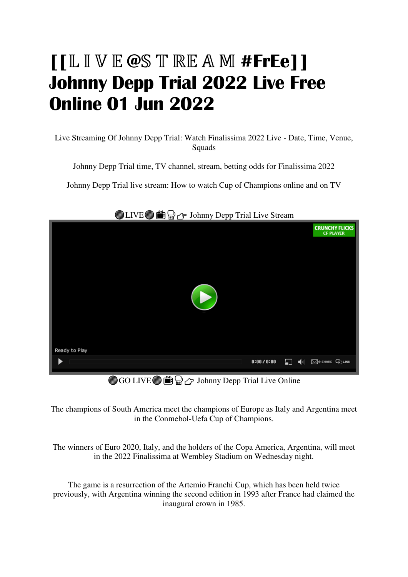# **[[@**ℝ**#FrEe]] Johnny Depp Trial 2022 Live Free Online 01 Jun 2022**

Live Streaming Of Johnny Depp Trial: Watch Finalissima 2022 Live - Date, Time, Venue, **Squads** 

Johnny Depp Trial time, TV channel, stream, betting odds for Finalissima 2022

Johnny Depp Trial live stream: How to watch Cup of Champions online and on TV



## LIVE **if**  $\bigoplus$   $\bigoplus$   $\bigoplus$  Johnny Depp Trial Live Stream

GO LIVE  $\circledR$   $\circledR$   $\rightarrow$  Johnny Depp Trial Live Online

The champions of South America meet the champions of Europe as Italy and Argentina meet in the Conmebol-Uefa Cup of Champions.

The winners of Euro 2020, Italy, and the holders of the Copa America, Argentina, will meet in the 2022 Finalissima at Wembley Stadium on Wednesday night.

The game is a resurrection of the Artemio Franchi Cup, which has been held twice previously, with Argentina winning the second edition in 1993 after France had claimed the inaugural crown in 1985.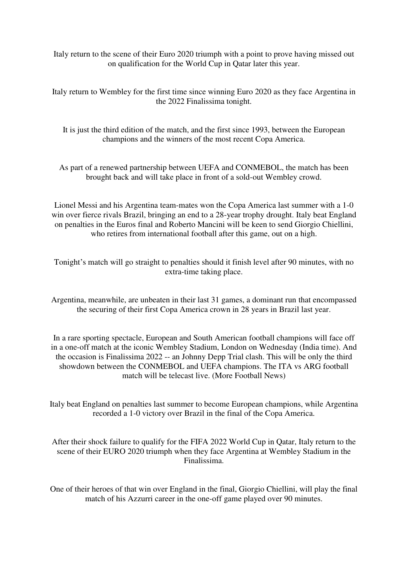Italy return to the scene of their Euro 2020 triumph with a point to prove having missed out on qualification for the World Cup in Qatar later this year.

Italy return to Wembley for the first time since winning Euro 2020 as they face Argentina in the 2022 Finalissima tonight.

It is just the third edition of the match, and the first since 1993, between the European champions and the winners of the most recent Copa America.

As part of a renewed partnership between UEFA and CONMEBOL, the match has been brought back and will take place in front of a sold-out Wembley crowd.

Lionel Messi and his Argentina team-mates won the Copa America last summer with a 1-0 win over fierce rivals Brazil, bringing an end to a 28-year trophy drought. Italy beat England on penalties in the Euros final and Roberto Mancini will be keen to send Giorgio Chiellini, who retires from international football after this game, out on a high.

Tonight's match will go straight to penalties should it finish level after 90 minutes, with no extra-time taking place.

Argentina, meanwhile, are unbeaten in their last 31 games, a dominant run that encompassed the securing of their first Copa America crown in 28 years in Brazil last year.

In a rare sporting spectacle, European and South American football champions will face off in a one-off match at the iconic Wembley Stadium, London on Wednesday (India time). And the occasion is Finalissima 2022 -- an Johnny Depp Trial clash. This will be only the third showdown between the CONMEBOL and UEFA champions. The ITA vs ARG football match will be telecast live. (More Football News)

Italy beat England on penalties last summer to become European champions, while Argentina recorded a 1-0 victory over Brazil in the final of the Copa America.

After their shock failure to qualify for the FIFA 2022 World Cup in Qatar, Italy return to the scene of their EURO 2020 triumph when they face Argentina at Wembley Stadium in the Finalissima.

One of their heroes of that win over England in the final, Giorgio Chiellini, will play the final match of his Azzurri career in the one-off game played over 90 minutes.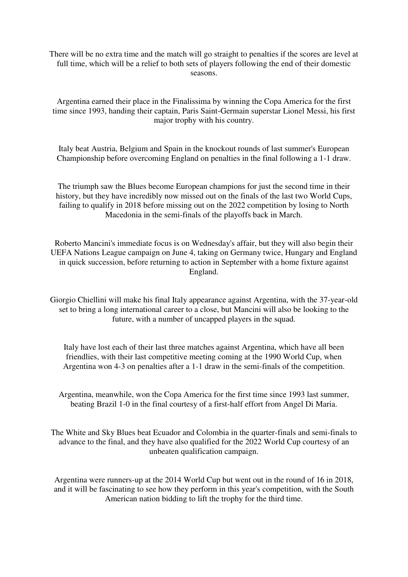There will be no extra time and the match will go straight to penalties if the scores are level at full time, which will be a relief to both sets of players following the end of their domestic seasons.

Argentina earned their place in the Finalissima by winning the Copa America for the first time since 1993, handing their captain, Paris Saint-Germain superstar Lionel Messi, his first major trophy with his country.

Italy beat Austria, Belgium and Spain in the knockout rounds of last summer's European Championship before overcoming England on penalties in the final following a 1-1 draw.

The triumph saw the Blues become European champions for just the second time in their history, but they have incredibly now missed out on the finals of the last two World Cups, failing to qualify in 2018 before missing out on the 2022 competition by losing to North Macedonia in the semi-finals of the playoffs back in March.

Roberto Mancini's immediate focus is on Wednesday's affair, but they will also begin their UEFA Nations League campaign on June 4, taking on Germany twice, Hungary and England in quick succession, before returning to action in September with a home fixture against England.

Giorgio Chiellini will make his final Italy appearance against Argentina, with the 37-year-old set to bring a long international career to a close, but Mancini will also be looking to the future, with a number of uncapped players in the squad.

Italy have lost each of their last three matches against Argentina, which have all been friendlies, with their last competitive meeting coming at the 1990 World Cup, when Argentina won 4-3 on penalties after a 1-1 draw in the semi-finals of the competition.

Argentina, meanwhile, won the Copa America for the first time since 1993 last summer, beating Brazil 1-0 in the final courtesy of a first-half effort from Angel Di Maria.

The White and Sky Blues beat Ecuador and Colombia in the quarter-finals and semi-finals to advance to the final, and they have also qualified for the 2022 World Cup courtesy of an unbeaten qualification campaign.

Argentina were runners-up at the 2014 World Cup but went out in the round of 16 in 2018, and it will be fascinating to see how they perform in this year's competition, with the South American nation bidding to lift the trophy for the third time.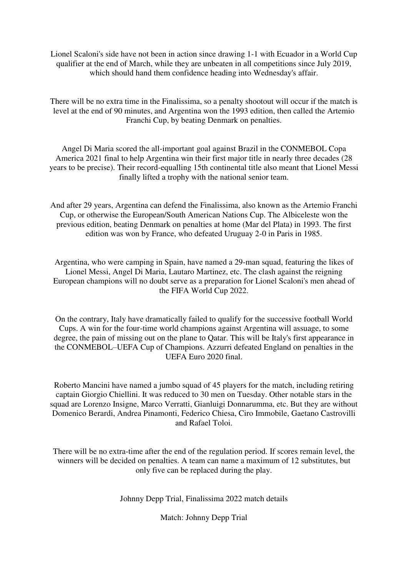Lionel Scaloni's side have not been in action since drawing 1-1 with Ecuador in a World Cup qualifier at the end of March, while they are unbeaten in all competitions since July 2019, which should hand them confidence heading into Wednesday's affair.

There will be no extra time in the Finalissima, so a penalty shootout will occur if the match is level at the end of 90 minutes, and Argentina won the 1993 edition, then called the Artemio Franchi Cup, by beating Denmark on penalties.

Angel Di Maria scored the all-important goal against Brazil in the CONMEBOL Copa America 2021 final to help Argentina win their first major title in nearly three decades (28 years to be precise). Their record-equalling 15th continental title also meant that Lionel Messi finally lifted a trophy with the national senior team.

And after 29 years, Argentina can defend the Finalissima, also known as the Artemio Franchi Cup, or otherwise the European/South American Nations Cup. The Albiceleste won the previous edition, beating Denmark on penalties at home (Mar del Plata) in 1993. The first edition was won by France, who defeated Uruguay 2-0 in Paris in 1985.

Argentina, who were camping in Spain, have named a 29-man squad, featuring the likes of Lionel Messi, Angel Di Maria, Lautaro Martinez, etc. The clash against the reigning European champions will no doubt serve as a preparation for Lionel Scaloni's men ahead of the FIFA World Cup 2022.

On the contrary, Italy have dramatically failed to qualify for the successive football World Cups. A win for the four-time world champions against Argentina will assuage, to some degree, the pain of missing out on the plane to Qatar. This will be Italy's first appearance in the CONMEBOL–UEFA Cup of Champions. Azzurri defeated England on penalties in the UEFA Euro 2020 final.

Roberto Mancini have named a jumbo squad of 45 players for the match, including retiring captain Giorgio Chiellini. It was reduced to 30 men on Tuesday. Other notable stars in the squad are Lorenzo Insigne, Marco Verratti, Gianluigi Donnarumma, etc. But they are without Domenico Berardi, Andrea Pinamonti, Federico Chiesa, Ciro Immobile, Gaetano Castrovilli and Rafael Toloi.

There will be no extra-time after the end of the regulation period. If scores remain level, the winners will be decided on penalties. A team can name a maximum of 12 substitutes, but only five can be replaced during the play.

Johnny Depp Trial, Finalissima 2022 match details

Match: Johnny Depp Trial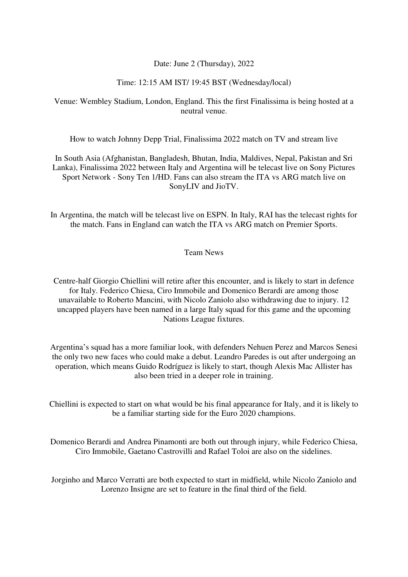#### Date: June 2 (Thursday), 2022

#### Time: 12:15 AM IST/ 19:45 BST (Wednesday/local)

### Venue: Wembley Stadium, London, England. This the first Finalissima is being hosted at a neutral venue.

How to watch Johnny Depp Trial, Finalissima 2022 match on TV and stream live

In South Asia (Afghanistan, Bangladesh, Bhutan, India, Maldives, Nepal, Pakistan and Sri Lanka), Finalissima 2022 between Italy and Argentina will be telecast live on Sony Pictures Sport Network - Sony Ten 1/HD. Fans can also stream the ITA vs ARG match live on SonyLIV and JioTV.

In Argentina, the match will be telecast live on ESPN. In Italy, RAI has the telecast rights for the match. Fans in England can watch the ITA vs ARG match on Premier Sports.

#### Team News

Centre-half Giorgio Chiellini will retire after this encounter, and is likely to start in defence for Italy. Federico Chiesa, Ciro Immobile and Domenico Berardi are among those unavailable to Roberto Mancini, with Nicolo Zaniolo also withdrawing due to injury. 12 uncapped players have been named in a large Italy squad for this game and the upcoming Nations League fixtures.

Argentina's squad has a more familiar look, with defenders Nehuen Perez and Marcos Senesi the only two new faces who could make a debut. Leandro Paredes is out after undergoing an operation, which means Guido Rodríguez is likely to start, though Alexis Mac Allister has also been tried in a deeper role in training.

Chiellini is expected to start on what would be his final appearance for Italy, and it is likely to be a familiar starting side for the Euro 2020 champions.

Domenico Berardi and Andrea Pinamonti are both out through injury, while Federico Chiesa, Ciro Immobile, Gaetano Castrovilli and Rafael Toloi are also on the sidelines.

Jorginho and Marco Verratti are both expected to start in midfield, while Nicolo Zaniolo and Lorenzo Insigne are set to feature in the final third of the field.